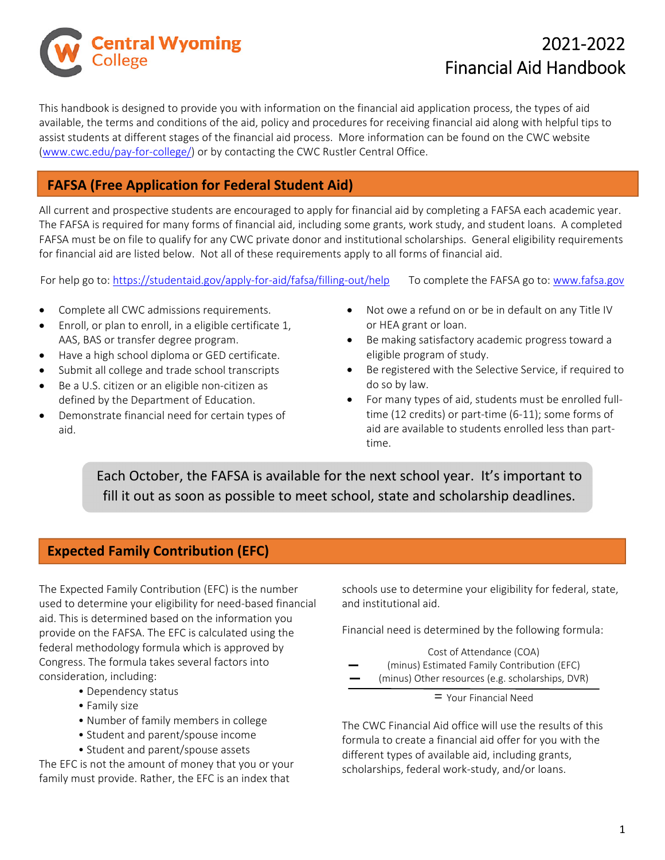

# 2021‐2022 Financial Aid Handbook

This handbook is designed to provide you with information on the financial aid application process, the types of aid available, the terms and conditions of the aid, policy and procedures for receiving financial aid along with helpful tips to assist students at different stages of the financial aid process. More information can be found on the CWC website (www.cwc.edu/pay‐for‐college/) or by contacting the CWC Rustler Central Office.

# **FAFSA (Free Application for Federal Student Aid)**

All current and prospective students are encouraged to apply for financial aid by completing a FAFSA each academic year. The FAFSA is required for many forms of financial aid, including some grants, work study, and student loans. A completed FAFSA must be on file to qualify for any CWC private donor and institutional scholarships. General eligibility requirements for financial aid are listed below. Not all of these requirements apply to all forms of financial aid.

For help go to: https://studentaid.gov/apply-for-aid/fafsa/filling-out/help To complete the FAFSA go to: www.fafsa.gov

- Complete all CWC admissions requirements.
- Enroll, or plan to enroll, in a eligible certificate 1, AAS, BAS or transfer degree program.
- Have a high school diploma or GED certificate.
- Submit all college and trade school transcripts
- Be a U.S. citizen or an eligible non‐citizen as defined by the Department of Education.
- Demonstrate financial need for certain types of aid.
- Not owe a refund on or be in default on any Title IV or HEA grant or loan.
- Be making satisfactory academic progress toward a eligible program of study.
- Be registered with the Selective Service, if required to do so by law.
- For many types of aid, students must be enrolled full‐ time (12 credits) or part‐time (6‐11); some forms of aid are available to students enrolled less than part‐ time.

Each October, the FAFSA is available for the next school year. It's important to fill it out as soon as possible to meet school, state and scholarship deadlines.

# **Expected Family Contribution (EFC)**

The Expected Family Contribution (EFC) is the number used to determine your eligibility for need‐based financial aid. This is determined based on the information you provide on the FAFSA. The EFC is calculated using the federal methodology formula which is approved by Congress. The formula takes several factors into consideration, including:

- Dependency status
- Family size
- Number of family members in college
- Student and parent/spouse income
- Student and parent/spouse assets

The EFC is not the amount of money that you or your family must provide. Rather, the EFC is an index that

schools use to determine your eligibility for federal, state, and institutional aid.

Financial need is determined by the following formula:

Cost of Attendance (COA) (minus) Estimated Family Contribution (EFC) (minus) Other resources (e.g. scholarships, DVR)

= Your Financial Need

The CWC Financial Aid office will use the results of this formula to create a financial aid offer for you with the different types of available aid, including grants, scholarships, federal work‐study, and/or loans.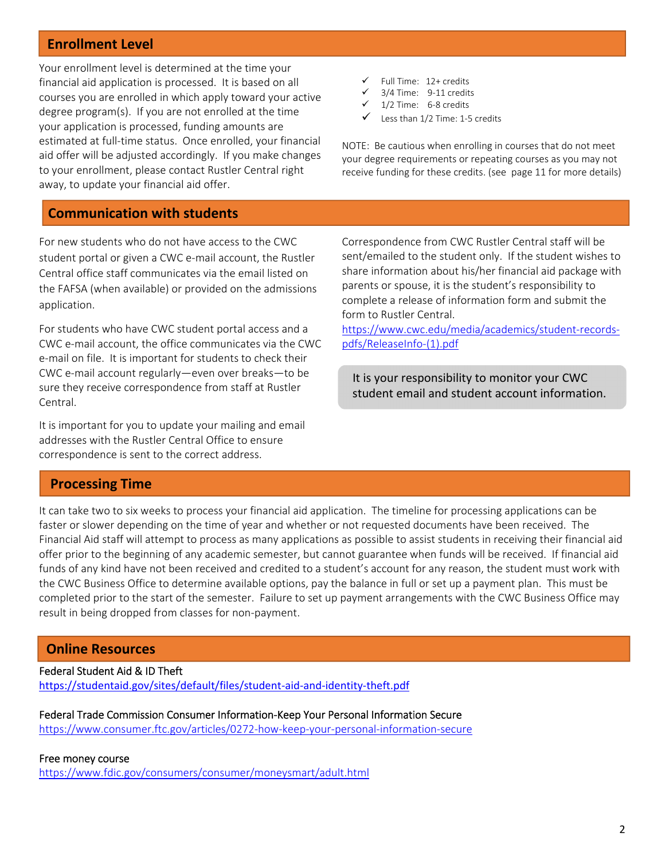### **Enrollment Level**

Your enrollment level is determined at the time your financial aid application is processed. It is based on all courses you are enrolled in which apply toward your active degree program(s). If you are not enrolled at the time your application is processed, funding amounts are estimated at full‐time status. Once enrolled, your financial aid offer will be adjusted accordingly. If you make changes to your enrollment, please contact Rustler Central right away, to update your financial aid offer.

### **Communication with students**

For new students who do not have access to the CWC student portal or given a CWC e‐mail account, the Rustler Central office staff communicates via the email listed on the FAFSA (when available) or provided on the admissions application.

For students who have CWC student portal access and a CWC e‐mail account, the office communicates via the CWC e‐mail on file. It is important for students to check their CWC e‐mail account regularly—even over breaks—to be sure they receive correspondence from staff at Rustler Central.

It is important for you to update your mailing and email addresses with the Rustler Central Office to ensure correspondence is sent to the correct address.

#### $\checkmark$  Full Time: 12+ credits

- 3/4 Time: 9-11 credits
- 1/2 Time: 6‐8 credits
- Less than 1/2 Time: 1‐5 credits

NOTE: Be cautious when enrolling in courses that do not meet your degree requirements or repeating courses as you may not receive funding for these credits. (see page 11 for more details)

Correspondence from CWC Rustler Central staff will be sent/emailed to the student only. If the student wishes to share information about his/her financial aid package with parents or spouse, it is the student's responsibility to complete a release of information form and submit the form to Rustler Central.

https://www.cwc.edu/media/academics/student‐records‐ pdfs/ReleaseInfo‐(1).pdf

It is your responsibility to monitor your CWC student email and student account information.

### **Processing Time**

It can take two to six weeks to process your financial aid application. The timeline for processing applications can be faster or slower depending on the time of year and whether or not requested documents have been received. The Financial Aid staff will attempt to process as many applications as possible to assist students in receiving their financial aid offer prior to the beginning of any academic semester, but cannot guarantee when funds will be received. If financial aid funds of any kind have not been received and credited to a student's account for any reason, the student must work with the CWC Business Office to determine available options, pay the balance in full or set up a payment plan. This must be completed prior to the start of the semester. Failure to set up payment arrangements with the CWC Business Office may result in being dropped from classes for non‐payment.

### **Online Resources**

Federal Student Aid & ID Theft https://studentaid.gov/sites/default/files/student‐aid‐and‐identity‐theft.pdf

Federal Trade Commission Consumer Information‐Keep Your Personal Information Secure https://www.consumer.ftc.gov/articles/0272‐how‐keep‐your‐personal‐information‐secure

#### Free money course

https://www.fdic.gov/consumers/consumer/moneysmart/adult.html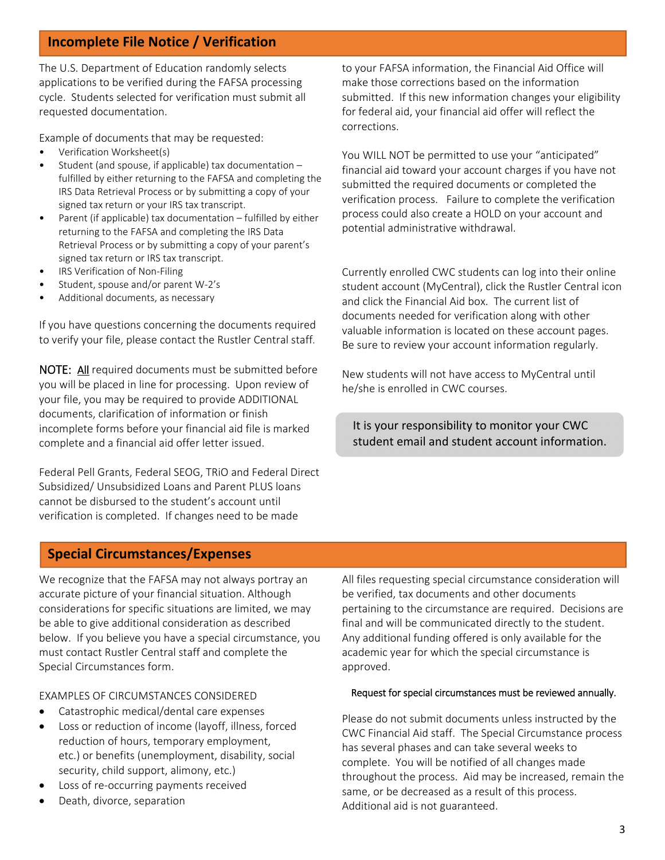# **Incomplete File Notice / Verification**

The U.S. Department of Education randomly selects applications to be verified during the FAFSA processing cycle. Students selected for verification must submit all requested documentation.

Example of documents that may be requested:

- Verification Worksheet(s)
- Student (and spouse, if applicable) tax documentation fulfilled by either returning to the FAFSA and completing the IRS Data Retrieval Process or by submitting a copy of your signed tax return or your IRS tax transcript.
- Parent (if applicable) tax documentation fulfilled by either returning to the FAFSA and completing the IRS Data Retrieval Process or by submitting a copy of your parent's signed tax return or IRS tax transcript.
- IRS Verification of Non-Filing
- Student, spouse and/or parent W‐2's
- Additional documents, as necessary

If you have questions concerning the documents required to verify your file, please contact the Rustler Central staff.

NOTE: All required documents must be submitted before you will be placed in line for processing. Upon review of your file, you may be required to provide ADDITIONAL documents, clarification of information or finish incomplete forms before your financial aid file is marked complete and a financial aid offer letter issued.

Federal Pell Grants, Federal SEOG, TRiO and Federal Direct Subsidized/ Unsubsidized Loans and Parent PLUS loans cannot be disbursed to the student's account until verification is completed. If changes need to be made

to your FAFSA information, the Financial Aid Office will make those corrections based on the information submitted. If this new information changes your eligibility for federal aid, your financial aid offer will reflect the corrections.

You WILL NOT be permitted to use your "anticipated" financial aid toward your account charges if you have not submitted the required documents or completed the verification process. Failure to complete the verification process could also create a HOLD on your account and potential administrative withdrawal.

Currently enrolled CWC students can log into their online student account (MyCentral), click the Rustler Central icon and click the Financial Aid box. The current list of documents needed for verification along with other valuable information is located on these account pages. Be sure to review your account information regularly.

New students will not have access to MyCentral until he/she is enrolled in CWC courses.

It is your responsibility to monitor your CWC student email and student account information.

### **Special Circumstances/Expenses**

We recognize that the FAFSA may not always portray an accurate picture of your financial situation. Although considerations for specific situations are limited, we may be able to give additional consideration as described below. If you believe you have a special circumstance, you must contact Rustler Central staff and complete the Special Circumstances form.

### EXAMPLES OF CIRCUMSTANCES CONSIDERED

- Catastrophic medical/dental care expenses
- Loss or reduction of income (layoff, illness, forced reduction of hours, temporary employment, etc.) or benefits (unemployment, disability, social security, child support, alimony, etc.)
- Loss of re‐occurring payments received
- Death, divorce, separation

All files requesting special circumstance consideration will be verified, tax documents and other documents pertaining to the circumstance are required. Decisions are final and will be communicated directly to the student. Any additional funding offered is only available for the academic year for which the special circumstance is approved.

#### Request for special circumstances must be reviewed annually.

Please do not submit documents unless instructed by the CWC Financial Aid staff. The Special Circumstance process has several phases and can take several weeks to complete. You will be notified of all changes made throughout the process. Aid may be increased, remain the same, or be decreased as a result of this process. Additional aid is not guaranteed.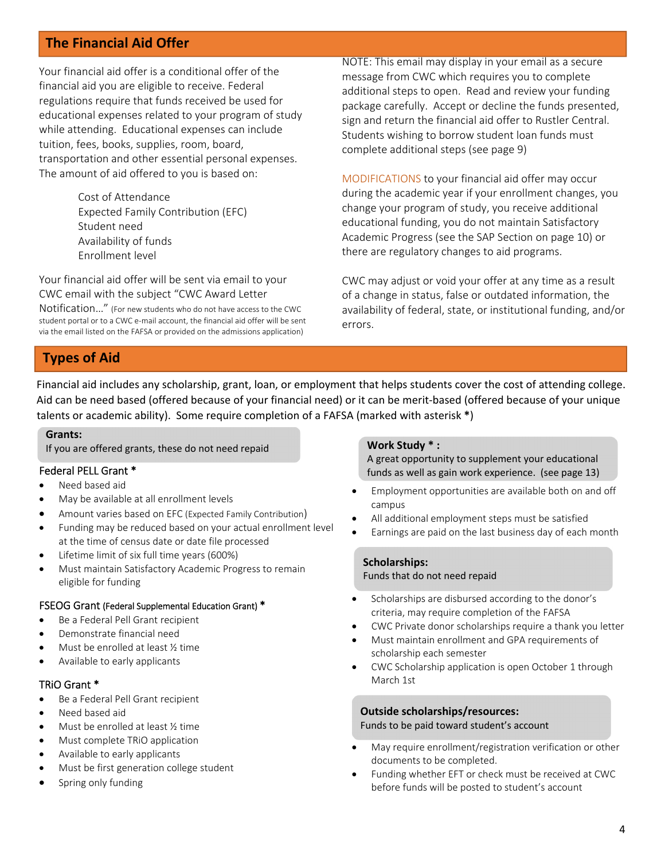# **The Financial Aid Offer**

Your financial aid offer is a conditional offer of the financial aid you are eligible to receive. Federal regulations require that funds received be used for educational expenses related to your program of study while attending. Educational expenses can include tuition, fees, books, supplies, room, board, transportation and other essential personal expenses. The amount of aid offered to you is based on:

> Cost of Attendance Expected Family Contribution (EFC) Student need Availability of funds Enrollment level

Your financial aid offer will be sent via email to your CWC email with the subject "CWC Award Letter

Notification…" (For new students who do not have access to the CWC student portal or to a CWC e‐mail account, the financial aid offer will be sent via the email listed on the FAFSA or provided on the admissions application)

NOTE: This email may display in your email as a secure message from CWC which requires you to complete additional steps to open. Read and review your funding package carefully. Accept or decline the funds presented, sign and return the financial aid offer to Rustler Central. Students wishing to borrow student loan funds must complete additional steps (see page 9)

MODIFICATIONS to your financial aid offer may occur during the academic year if your enrollment changes, you change your program of study, you receive additional educational funding, you do not maintain Satisfactory Academic Progress (see the SAP Section on page 10) or there are regulatory changes to aid programs.

CWC may adjust or void your offer at any time as a result of a change in status, false or outdated information, the availability of federal, state, or institutional funding, and/or errors.

# **Types of Aid**

 talents or academic ability). Some require completion of a FAFSA (marked with asterisk **\***) Financial aid includes any scholarship, grant, loan, or employment that helps students cover the cost of attending college. Aid can be need based (offered because of your financial need) or it can be merit‐based (offered because of your unique

#### **Grants:**

í

If you are offered grants, these do not need repaid **Work Study \* :**

### Federal PELL Grant \*

- Need based aid
- May be available at all enrollment levels
- Amount varies based on EFC (Expected Family Contribution)
- Funding may be reduced based on your actual enrollment level at the time of census date or date file processed
- Lifetime limit of six full time years (600%)
- Must maintain Satisfactory Academic Progress to remain eligible for funding

### FSEOG Grant (Federal Supplemental Education Grant) \*

- Be a Federal Pell Grant recipient
- Demonstrate financial need
- Must be enrolled at least ½ time
- Available to early applicants

### TRiO Grant \*

- Be a Federal Pell Grant recipient
- Need based aid
- Must be enrolled at least ½ time
- Must complete TRiO application
- Available to early applicants
- Must be first generation college student
- Spring only funding

A great opportunity to supplement your educational funds as well as gain work experience. (see page 13)

- Employment opportunities are available both on and off campus
- All additional employment steps must be satisfied
- Earnings are paid on the last business day of each month

# **Scholarships:**

#### Funds that do not need repaid

- Scholarships are disbursed according to the donor's criteria, may require completion of the FAFSA
- CWC Private donor scholarships require a thank you letter
- Must maintain enrollment and GPA requirements of scholarship each semester
- CWC Scholarship application is open October 1 through March 1st

### **Outside scholarships/resources:**

Funds to be paid toward student's account

- May require enrollment/registration verification or other documents to be completed.
- Funding whether EFT or check must be received at CWC before funds will be posted to student's account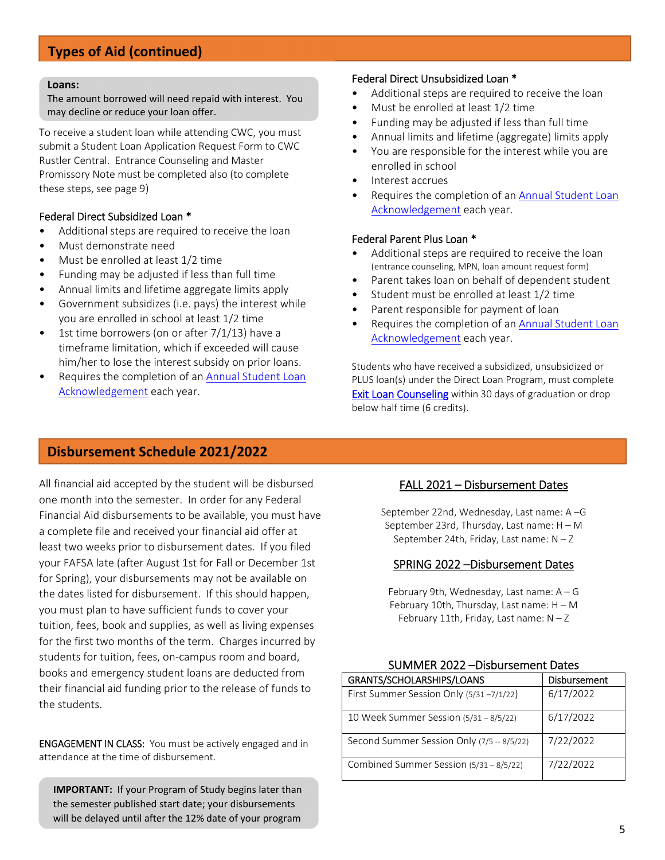# **Types of Aid (continued)**

#### **Loans:**

The amount borrowed will need repaid with interest. You may decline or reduce your loan offer.

To receive a student loan while attending CWC, you must submit a Student Loan Application Request Form to CWC Rustler Central. Entrance Counseling and Master Promissory Note must be completed also (to complete these steps, see page 9)

#### Federal Direct Subsidized Loan \*

- Additional steps are required to receive the loan
- Must demonstrate need
- Must be enrolled at least 1/2 time
- Funding may be adjusted if less than full time
- Annual limits and lifetime aggregate limits apply
- Government subsidizes (i.e. pays) the interest while you are enrolled in school at least 1/2 time
- 1st time borrowers (on or after  $7/1/13$ ) have a timeframe limitation, which if exceeded will cause him/her to lose the interest subsidy on prior loans.
- Requires the completion of an Annual Student Loan Acknowledgement each year.

#### Federal Direct Unsubsidized Loan \*

- Additional steps are required to receive the loan
- Must be enrolled at least 1/2 time
- Funding may be adjusted if less than full time
- Annual limits and lifetime (aggregate) limits apply
- You are responsible for the interest while you are enrolled in school
- Interest accrues
- Requires the completion of an Annual Student Loan Acknowledgement each year.

#### Federal Parent Plus Loan \*

- Additional steps are required to receive the loan (entrance counseling, MPN, loan amount request form)
- Parent takes loan on behalf of dependent student
- Student must be enrolled at least 1/2 time
- Parent responsible for payment of loan
- Requires the completion of an Annual Student Loan Acknowledgement each year.

Students who have received a subsidized, unsubsidized or PLUS loan(s) under the Direct Loan Program, must complete **Exit Loan Counseling** within 30 days of graduation or drop below half time (6 credits).

### **Disbursement Schedule 2021/2022**

All financial aid accepted by the student will be disbursed one month into the semester. In order for any Federal Financial Aid disbursements to be available, you must have a complete file and received your financial aid offer at least two weeks prior to disbursement dates. If you filed your FAFSA late (after August 1st for Fall or December 1st for Spring), your disbursements may not be available on the dates listed for disbursement. If this should happen, you must plan to have sufficient funds to cover your tuition, fees, book and supplies, as well as living expenses for the first two months of the term. Charges incurred by students for tuition, fees, on‐campus room and board, books and emergency student loans are deducted from their financial aid funding prior to the release of funds to the students.

ENGAGEMENT IN CLASS: You must be actively engaged and in attendance at the time of disbursement.

**IMPORTANT:** If your Program of Study begins later than the semester published start date; your disbursements will be delayed until after the 12% date of your program

### FALL 2021 – Disbursement Dates

September 22nd, Wednesday, Last name: A –G September 23rd, Thursday, Last name: H – M September 24th, Friday, Last name:  $N - Z$ 

#### SPRING 2022 –Disbursement Dates

February 9th, Wednesday, Last name: A – G February 10th, Thursday, Last name: H – M February 11th, Friday, Last name:  $N - Z$ 

| GRANTS/SCHOLARSHIPS/LOANS                  | Disbursement |  |  |  |
|--------------------------------------------|--------------|--|--|--|
| First Summer Session Only (5/31-7/1/22)    | 6/17/2022    |  |  |  |
| 10 Week Summer Session (5/31 - 8/5/22)     | 6/17/2022    |  |  |  |
| Second Summer Session Only (7/5 -- 8/5/22) | 7/22/2022    |  |  |  |
| Combined Summer Session (5/31 - 8/5/22)    | 7/22/2022    |  |  |  |

#### SUMMER 2022 –Disbursement Dates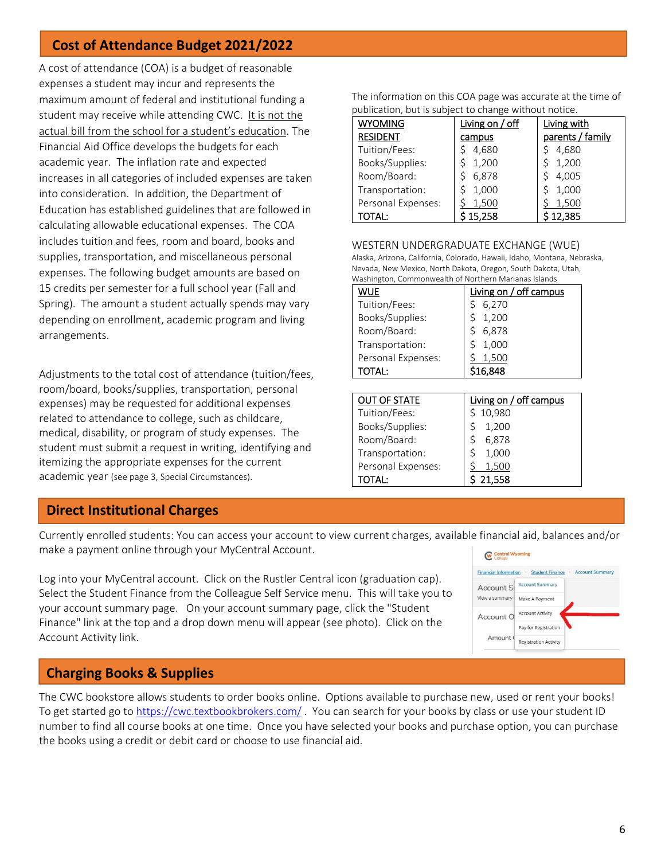# **Cost of Attendance Budget 2021/2022**

A cost of attendance (COA) is a budget of reasonable expenses a student may incur and represents the maximum amount of federal and institutional funding a student may receive while attending CWC. It is not the actual bill from the school for a student's education. The Financial Aid Office develops the budgets for each academic year. The inflation rate and expected increases in all categories of included expenses are taken into consideration. In addition, the Department of Education has established guidelines that are followed in calculating allowable educational expenses. The COA includes tuition and fees, room and board, books and supplies, transportation, and miscellaneous personal expenses. The following budget amounts are based on 15 credits per semester for a full school year (Fall and Spring). The amount a student actually spends may vary depending on enrollment, academic program and living arrangements.

Adjustments to the total cost of attendance (tuition/fees, room/board, books/supplies, transportation, personal expenses) may be requested for additional expenses related to attendance to college, such as childcare, medical, disability, or program of study expenses. The student must submit a request in writing, identifying and itemizing the appropriate expenses for the current academic year (see page 3, Special Circumstances).

### **Direct Institutional Charges**

Currently enrolled students: You can access your account to view current charges, available financial aid, balances and/or make a payment online through your MyCentral Account.

Log into your MyCentral account. Click on the Rustler Central icon (graduation cap). Select the Student Finance from the Colleague Self Service menu. This will take you to your account summary page. On your account summary page, click the "Student Finance" link at the top and a drop down menu will appear (see photo). Click on the Account Activity link.

#### Central Wyoming Financial Information · Student Finance **Account Summary** Account St Account Summary View a summary ( Make A Payment Account O Account Activity Pay for Registration Amount ( **Registration Activity**

# **Charging Books & Supplies**

The CWC bookstore allows students to order books online. Options available to purchase new, used or rent your books! To get started go to https://cwc.textbookbrokers.com/ . You can search for your books by class or use your student ID number to find all course books at one time. Once you have selected your books and purchase option, you can purchase the books using a credit or debit card or choose to use financial aid.

| publication, but is subject to change without notice. |                 |                  |  |  |  |  |
|-------------------------------------------------------|-----------------|------------------|--|--|--|--|
| <b>WYOMING</b>                                        | Living on / off | Living with      |  |  |  |  |
| <b>RESIDENT</b>                                       | campus          | parents / family |  |  |  |  |
| Tuition/Fees:                                         | 4,680           | 4,680            |  |  |  |  |
| Books/Supplies:                                       | 1,200           | 1,200            |  |  |  |  |
| Room/Board:                                           | 6,878           | 4,005            |  |  |  |  |
| Transportation:                                       | 1,000           | 1,000            |  |  |  |  |
| Personal Expenses:                                    | 1,500           | 1,500            |  |  |  |  |
| TOTAL:                                                | 15,258          | \$12,385         |  |  |  |  |

The information on this COA page was accurate at the time of

WESTERN UNDERGRADUATE EXCHANGE (WUE) Alaska, Arizona, California, Colorado, Hawaii, Idaho, Montana, Nebraska, Nevada, New Mexico, North Dakota, Oregon, South Dakota, Utah, Washington, Commonwealth of Northern Marianas Islands

| Washington, Commonwealth of Northern Marianas islands |                        |  |  |  |  |
|-------------------------------------------------------|------------------------|--|--|--|--|
| WUE                                                   | Living on / off campus |  |  |  |  |
| Tuition/Fees:                                         | 6,270                  |  |  |  |  |
| Books/Supplies:                                       | 1,200                  |  |  |  |  |
| Room/Board:                                           | 6,878                  |  |  |  |  |
| Transportation:                                       | 1,000                  |  |  |  |  |
| Personal Expenses:                                    | 1,500                  |  |  |  |  |
| <b>TOTAL:</b>                                         | \$16,848               |  |  |  |  |
|                                                       |                        |  |  |  |  |

| <b>OUT OF STATE</b> | Living on / off campus |
|---------------------|------------------------|
| Tuition/Fees:       | 10,980                 |
| Books/Supplies:     | 1,200                  |
| Room/Board:         | 6,878                  |
| Transportation:     | 1,000                  |
| Personal Expenses:  | 1,500                  |
| ΤΟΤΑΙ :             | 21,558                 |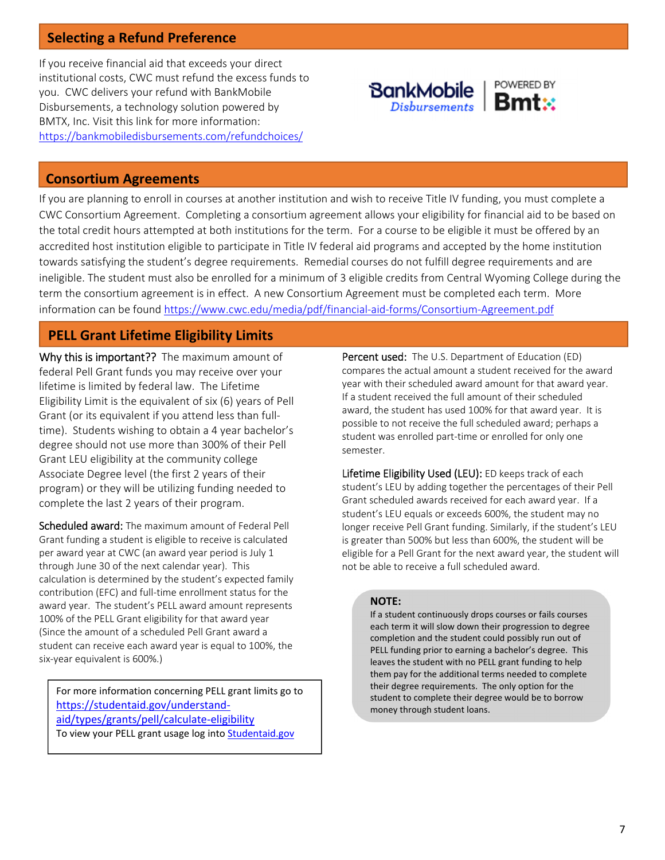# **Selecting a Refund Preference**

If you receive financial aid that exceeds your direct institutional costs, CWC must refund the excess funds to you. CWC delivers your refund with BankMobile Disbursements, a technology solution powered by BMTX, Inc. Visit this link for more information: https://bankmobiledisbursements.com/refundchoices/



### **Consortium Agreements**

If you are planning to enroll in courses at another institution and wish to receive Title IV funding, you must complete a CWC Consortium Agreement. Completing a consortium agreement allows your eligibility for financial aid to be based on the total credit hours attempted at both institutions for the term. For a course to be eligible it must be offered by an accredited host institution eligible to participate in Title IV federal aid programs and accepted by the home institution towards satisfying the student's degree requirements. Remedial courses do not fulfill degree requirements and are ineligible. The student must also be enrolled for a minimum of 3 eligible credits from Central Wyoming College during the term the consortium agreement is in effect. A new Consortium Agreement must be completed each term. More information can be found https://www.cwc.edu/media/pdf/financial-aid-forms/Consortium-Agreement.pdf

# **PELL Grant Lifetime Eligibility Limits**

Why this is important?? The maximum amount of federal Pell Grant funds you may receive over your lifetime is limited by federal law. The Lifetime Eligibility Limit is the equivalent of six (6) years of Pell Grant (or its equivalent if you attend less than full‐ time). Students wishing to obtain a 4 year bachelor's degree should not use more than 300% of their Pell Grant LEU eligibility at the community college Associate Degree level (the first 2 years of their program) or they will be utilizing funding needed to complete the last 2 years of their program.

Scheduled award: The maximum amount of Federal Pell Grant funding a student is eligible to receive is calculated per award year at CWC (an award year period is July 1 through June 30 of the next calendar year). This calculation is determined by the student's expected family contribution (EFC) and full‐time enrollment status for the award year. The student's PELL award amount represents 100% of the PELL Grant eligibility for that award year (Since the amount of a scheduled Pell Grant award a student can receive each award year is equal to 100%, the six‐year equivalent is 600%.)

For more information concerning PELL grant limits go to https://studentaid.gov/understand‐ aid/types/grants/pell/calculate‐eligibility To view your PELL grant usage log into **Studentaid.gov** 

Percent used: The U.S. Department of Education (ED) compares the actual amount a student received for the award year with their scheduled award amount for that award year. If a student received the full amount of their scheduled award, the student has used 100% for that award year. It is possible to not receive the full scheduled award; perhaps a student was enrolled part‐time or enrolled for only one semester.

Lifetime Eligibility Used (LEU): ED keeps track of each student's LEU by adding together the percentages of their Pell Grant scheduled awards received for each award year. If a student's LEU equals or exceeds 600%, the student may no longer receive Pell Grant funding. Similarly, if the student's LEU is greater than 500% but less than 600%, the student will be eligible for a Pell Grant for the next award year, the student will not be able to receive a full scheduled award.

### **NOTE:**

If a student continuously drops courses or fails courses each term it will slow down their progression to degree completion and the student could possibly run out of PELL funding prior to earning a bachelor's degree. This leaves the student with no PELL grant funding to help them pay for the additional terms needed to complete their degree requirements. The only option for the student to complete their degree would be to borrow money through student loans.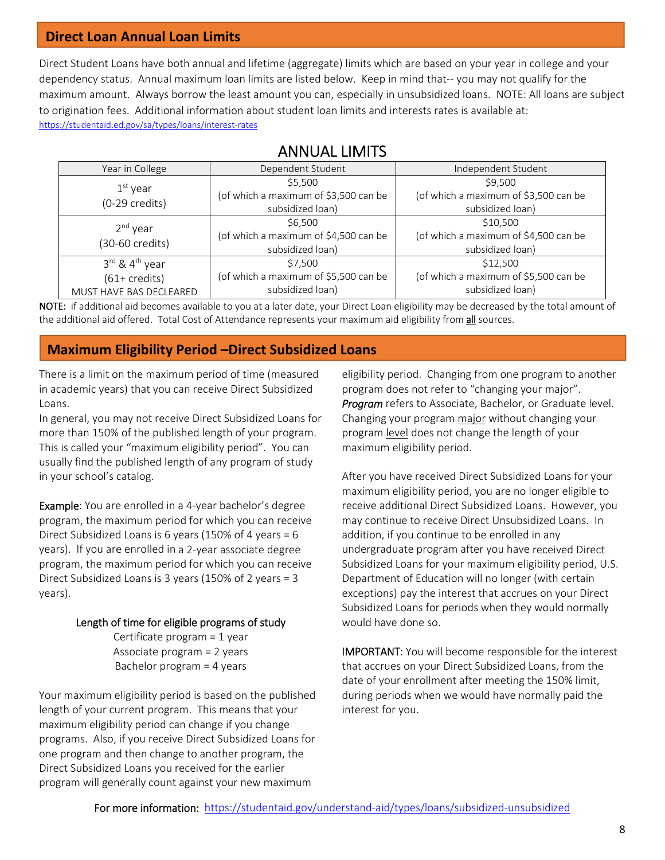### **Direct Loan Annual Loan Limits**

Direct Student Loans have both annual and lifetime (aggregate) limits which are based on your year in college and your dependency status. Annual maximum loan limits are listed below. Keep in mind that-- you may not qualify for the maximum amount. Always borrow the least amount you can, especially in unsubsidized loans. NOTE: All loans are subject to origination fees. Additional information about student loan limits and interests rates is available at: https://studentaid.ed.gov/sa/types/loans/interest‐rates

| Year in College                        | Dependent Student                     | Independent Student                   |  |  |
|----------------------------------------|---------------------------------------|---------------------------------------|--|--|
| $1st$ year                             | \$5,500                               | \$9,500                               |  |  |
| $(0-29 \text{ credits})$               | (of which a maximum of \$3,500 can be | (of which a maximum of \$3,500 can be |  |  |
|                                        | subsidized loan)                      | subsidized loan)                      |  |  |
| 2 <sup>nd</sup> year                   | \$6,500                               | \$10,500                              |  |  |
|                                        | (of which a maximum of \$4,500 can be | (of which a maximum of \$4,500 can be |  |  |
| (30-60 credits)                        | subsidized loan)                      | subsidized loan)                      |  |  |
| $3^{\text{rd}}$ & $4^{\text{th}}$ year | \$7.500                               | \$12,500                              |  |  |
| $(61 + \text{credits})$                | (of which a maximum of \$5,500 can be | (of which a maximum of \$5,500 can be |  |  |
| MUST HAVE BAS DECLEARED                | subsidized loan)                      | subsidized loan)                      |  |  |

# ANNUAL LIMITS

NOTE: if additional aid becomes available to you at a later date, your Direct Loan eligibility may be decreased by the total amount of the additional aid offered. Total Cost of Attendance represents your maximum aid eligibility from all sources.

### **Maximum Eligibility Period –Direct Subsidized Loans**

There is a limit on the maximum period of time (measured in academic years) that you can receive Direct Subsidized Loans.

In general, you may not receive Direct Subsidized Loans for more than 150% of the published length of your program. This is called your "maximum eligibility period". You can usually find the published length of any program of study in your school's catalog.

Example: You are enrolled in a 4‐year bachelor's degree program, the maximum period for which you can receive Direct Subsidized Loans is 6 years (150% of 4 years = 6 years). If you are enrolled in a 2‐year associate degree program, the maximum period for which you can receive Direct Subsidized Loans is 3 years (150% of 2 years = 3 years).

### Length of time for eligible programs of study

Certificate program = 1 year Associate program = 2 years Bachelor program = 4 years

Your maximum eligibility period is based on the published length of your current program. This means that your maximum eligibility period can change if you change programs. Also, if you receive Direct Subsidized Loans for one program and then change to another program, the Direct Subsidized Loans you received for the earlier program will generally count against your new maximum

eligibility period. Changing from one program to another program does not refer to "changing your major". *Program* refers to Associate, Bachelor, or Graduate level. Changing your program major without changing your program level does not change the length of your maximum eligibility period.

After you have received Direct Subsidized Loans for your maximum eligibility period, you are no longer eligible to receive additional Direct Subsidized Loans. However, you may continue to receive Direct Unsubsidized Loans. In addition, if you continue to be enrolled in any undergraduate program after you have received Direct Subsidized Loans for your maximum eligibility period, U.S. Department of Education will no longer (with certain exceptions) pay the interest that accrues on your Direct Subsidized Loans for periods when they would normally would have done so.

IMPORTANT: You will become responsible for the interest that accrues on your Direct Subsidized Loans, from the date of your enrollment after meeting the 150% limit, during periods when we would have normally paid the interest for you.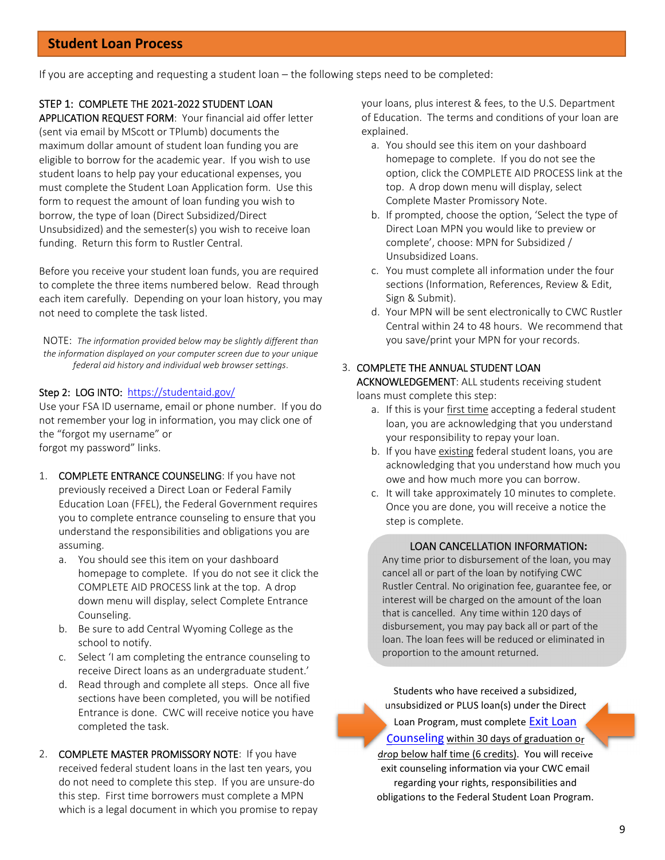### **Student Loan Process**

If you are accepting and requesting a student loan – the following steps need to be completed:

#### STEP 1: COMPLETE THE 2021‐2022 STUDENT LOAN

APPLICATION REQUEST FORM: Your financial aid offer letter (sent via email by MScott or TPlumb) documents the maximum dollar amount of student loan funding you are eligible to borrow for the academic year. If you wish to use student loans to help pay your educational expenses, you must complete the Student Loan Application form. Use this form to request the amount of loan funding you wish to borrow, the type of loan (Direct Subsidized/Direct Unsubsidized) and the semester(s) you wish to receive loan funding. Return this form to Rustler Central.

Before you receive your student loan funds, you are required to complete the three items numbered below. Read through each item carefully. Depending on your loan history, you may not need to complete the task listed.

NOTE: *The information provided below may be slightly different than the information displayed on your computer screen due to your unique federal aid history and individual web browser settings*.

#### Step 2: LOG INTO: https://studentaid.gov/

Use your FSA ID username, email or phone number. If you do not remember your log in information, you may click one of the "forgot my username" or forgot my password" links.

- 1. COMPLETE ENTRANCE COUNSELING: If you have not previously received a Direct Loan or Federal Family Education Loan (FFEL), the Federal Government requires you to complete entrance counseling to ensure that you understand the responsibilities and obligations you are assuming.
	- a. You should see this item on your dashboard homepage to complete. If you do not see it click the COMPLETE AID PROCESS link at the top. A drop down menu will display, select Complete Entrance Counseling.
	- b. Be sure to add Central Wyoming College as the school to notify.
	- c. Select 'I am completing the entrance counseling to receive Direct loans as an undergraduate student.'
	- d. Read through and complete all steps. Once all five sections have been completed, you will be notified Entrance is done. CWC will receive notice you have completed the task.
- 2. COMPLETE MASTER PROMISSORY NOTE: If you have received federal student loans in the last ten years, you do not need to complete this step. If you are unsure‐do this step. First time borrowers must complete a MPN which is a legal document in which you promise to repay

your loans, plus interest & fees, to the U.S. Department of Education. The terms and conditions of your loan are explained.

- a. You should see this item on your dashboard homepage to complete. If you do not see the option, click the COMPLETE AID PROCESS link at the top. A drop down menu will display, select Complete Master Promissory Note.
- b. If prompted, choose the option, 'Select the type of Direct Loan MPN you would like to preview or complete', choose: MPN for Subsidized / Unsubsidized Loans.
- c. You must complete all information under the four sections (Information, References, Review & Edit, Sign & Submit).
- d. Your MPN will be sent electronically to CWC Rustler Central within 24 to 48 hours. We recommend that you save/print your MPN for your records.

#### 3. COMPLETE THE ANNUAL STUDENT LOAN

ACKNOWLEDGEMENT: ALL students receiving student loans must complete this step:

- a. If this is your first time accepting a federal student loan, you are acknowledging that you understand your responsibility to repay your loan.
- b. If you have existing federal student loans, you are acknowledging that you understand how much you owe and how much more you can borrow.
- c. It will take approximately 10 minutes to complete. Once you are done, you will receive a notice the step is complete.

#### LOAN CANCELLATION INFORMATION**:**

Any time prior to disbursement of the loan, you may cancel all or part of the loan by notifying CWC Rustler Central. No origination fee, guarantee fee, or interest will be charged on the amount of the loan that is cancelled. Any time within 120 days of disbursement, you may pay back all or part of the loan. The loan fees will be reduced or eliminated in proportion to the amount returned.

Students who have received a subsidized, unsubsidized or PLUS loan(s) under the Direct Loan Program, must complete **Exit Loan** Counseling within 30 days of graduation or drop below half time (6 credits). You will receive exit counseling information via your CWC email regarding your rights, responsibilities and obligations to the Federal Student Loan Program.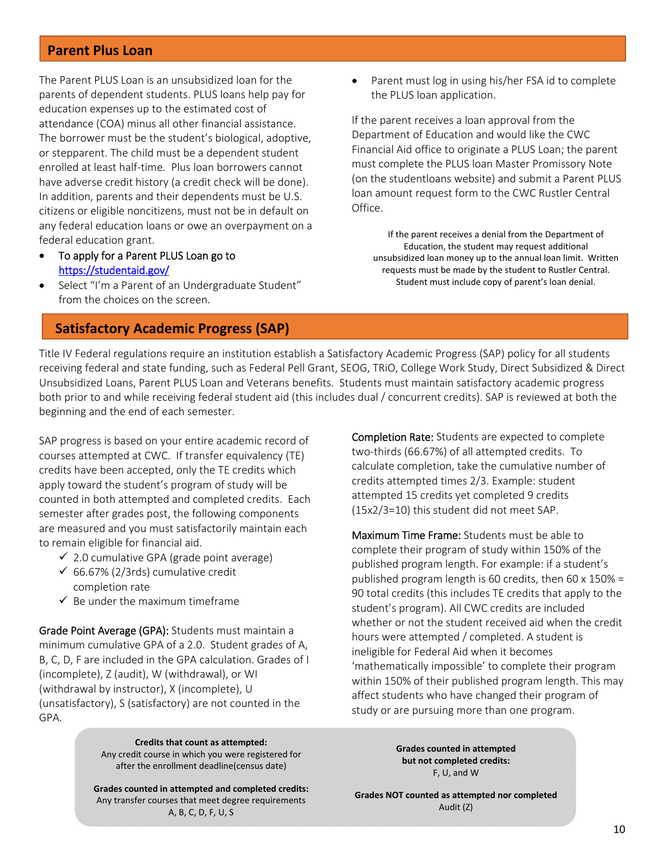### **Parent Plus Loan**

The Parent PLUS Loan is an unsubsidized loan for the parents of dependent students. PLUS loans help pay for education expenses up to the estimated cost of attendance (COA) minus all other financial assistance. The borrower must be the student's biological, adoptive, or stepparent. The child must be a dependent student enrolled at least half-time. Plus loan borrowers cannot have adverse credit history (a credit check will be done). In addition, parents and their dependents must be U.S. citizens or eligible noncitizens, must not be in default on any federal education loans or owe an overpayment on a federal education grant.

- To apply for a Parent PLUS Loan go to https://studentaid.gov/
- Select "I'm a Parent of an Undergraduate Student" from the choices on the screen.

### **Satisfactory Academic Progress (SAP)**

 Parent must log in using his/her FSA id to complete the PLUS loan application.

If the parent receives a loan approval from the Department of Education and would like the CWC Financial Aid office to originate a PLUS Loan; the parent must complete the PLUS loan Master Promissory Note (on the studentloans website) and submit a Parent PLUS loan amount request form to the CWC Rustler Central Office.

If the parent receives a denial from the Department of Education, the student may request additional unsubsidized loan money up to the annual loan limit. Written requests must be made by the student to Rustler Central. Student must include copy of parent's loan denial.

Title IV Federal regulations require an institution establish a Satisfactory Academic Progress (SAP) policy for all students receiving federal and state funding, such as Federal Pell Grant, SEOG, TRiO, College Work Study, Direct Subsidized & Direct Unsubsidized Loans, Parent PLUS Loan and Veterans benefits. Students must maintain satisfactory academic progress both prior to and while receiving federal student aid (this includes dual / concurrent credits). SAP is reviewed at both the beginning and the end of each semester.

SAP progress is based on your entire academic record of courses attempted at CWC. If transfer equivalency (TE) credits have been accepted, only the TE credits which apply toward the student's program of study will be counted in both attempted and completed credits. Each semester after grades post, the following components are measured and you must satisfactorily maintain each to remain eligible for financial aid.

- $\checkmark$  2.0 cumulative GPA (grade point average)
- $66.67\%$  (2/3rds) cumulative credit completion rate
- $\checkmark$  Be under the maximum timeframe

Grade Point Average (GPA): Students must maintain a minimum cumulative GPA of a 2.0. Student grades of A, B, C, D, F are included in the GPA calculation. Grades of I (incomplete), Z (audit), W (withdrawal), or WI (withdrawal by instructor), X (incomplete), U (unsatisfactory), S (satisfactory) are not counted in the GPA.

> **Credits that count as attempted:** Any credit course in which you were registered for after the enrollment deadline(census date)

**Grades counted in attempted and completed credits:** Any transfer courses that meet degree requirements A, B, C, D, F, U, S

Completion Rate: Students are expected to complete two‐thirds (66.67%) of all attempted credits. To calculate completion, take the cumulative number of credits attempted times 2/3. Example: student attempted 15 credits yet completed 9 credits (15x2/3=10) this student did not meet SAP.

Maximum Time Frame: Students must be able to complete their program of study within 150% of the published program length. For example: if a student's published program length is 60 credits, then 60 x 150% = 90 total credits (this includes TE credits that apply to the student's program). All CWC credits are included whether or not the student received aid when the credit hours were attempted / completed. A student is ineligible for Federal Aid when it becomes 'mathematically impossible' to complete their program within 150% of their published program length. This may affect students who have changed their program of study or are pursuing more than one program.

> **Grades counted in attempted but not completed credits:** F, U, and W

**Grades NOT counted as attempted nor completed** Audit (Z)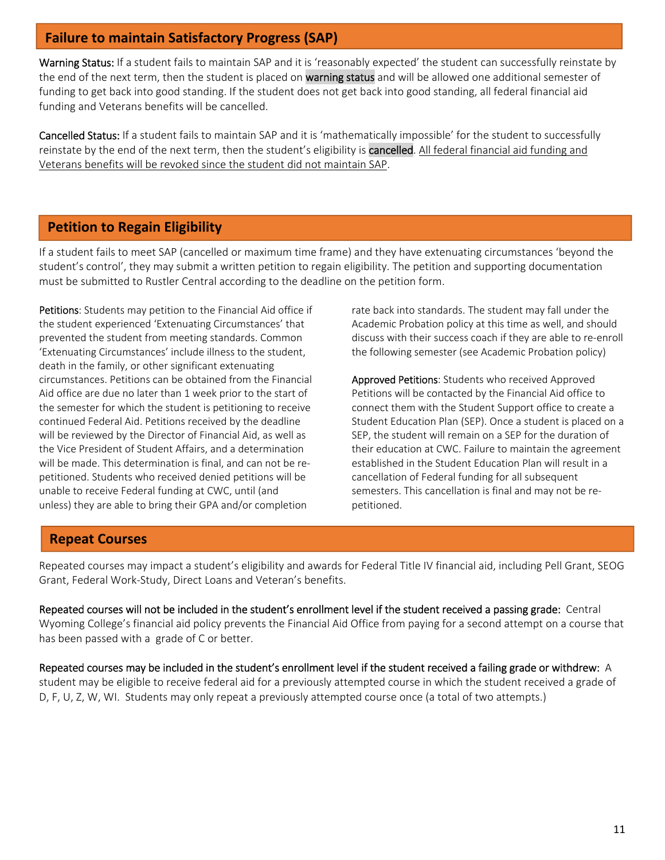# **Failure to maintain Satisfactory Progress (SAP)**

Warning Status: If a student fails to maintain SAP and it is 'reasonably expected' the student can successfully reinstate by the end of the next term, then the student is placed on warning status and will be allowed one additional semester of funding to get back into good standing. If the student does not get back into good standing, all federal financial aid funding and Veterans benefits will be cancelled.

Cancelled Status: If a student fails to maintain SAP and it is 'mathematically impossible' for the student to successfully reinstate by the end of the next term, then the student's eligibility is cancelled. All federal financial aid funding and Veterans benefits will be revoked since the student did not maintain SAP.

# **Petition to Regain Eligibility**

L

If a student fails to meet SAP (cancelled or maximum time frame) and they have extenuating circumstances 'beyond the student's control', they may submit a written petition to regain eligibility. The petition and supporting documentation must be submitted to Rustler Central according to the deadline on the petition form.

Petitions: Students may petition to the Financial Aid office if the student experienced 'Extenuating Circumstances' that prevented the student from meeting standards. Common 'Extenuating Circumstances' include illness to the student, death in the family, or other significant extenuating circumstances. Petitions can be obtained from the Financial Aid office are due no later than 1 week prior to the start of the semester for which the student is petitioning to receive continued Federal Aid. Petitions received by the deadline will be reviewed by the Director of Financial Aid, as well as the Vice President of Student Affairs, and a determination will be made. This determination is final, and can not be re‐ petitioned. Students who received denied petitions will be unable to receive Federal funding at CWC, until (and unless) they are able to bring their GPA and/or completion

rate back into standards. The student may fall under the Academic Probation policy at this time as well, and should discuss with their success coach if they are able to re‐enroll the following semester (see Academic Probation policy)

Approved Petitions: Students who received Approved Petitions will be contacted by the Financial Aid office to connect them with the Student Support office to create a Student Education Plan (SEP). Once a student is placed on a SEP, the student will remain on a SEP for the duration of their education at CWC. Failure to maintain the agreement established in the Student Education Plan will result in a cancellation of Federal funding for all subsequent semesters. This cancellation is final and may not be re‐ petitioned.

# **Repeat Courses**

Repeated courses may impact a student's eligibility and awards for Federal Title IV financial aid, including Pell Grant, SEOG Grant, Federal Work‐Study, Direct Loans and Veteran's benefits.

Repeated courses will not be included in the student's enrollment level if the student received a passing grade: Central Wyoming College's financial aid policy prevents the Financial Aid Office from paying for a second attempt on a course that has been passed with a grade of C or better.

Repeated courses may be included in the student's enrollment level if the student received a failing grade or withdrew: A student may be eligible to receive federal aid for a previously attempted course in which the student received a grade of D, F, U, Z, W, WI. Students may only repeat a previously attempted course once (a total of two attempts.)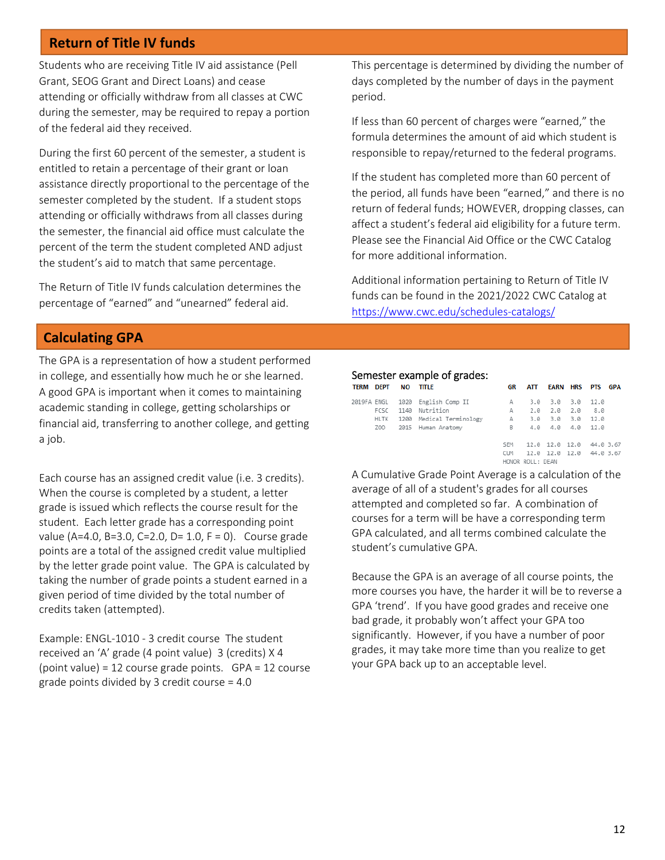# **Return of Title IV funds**

l

Students who are receiving Title IV aid assistance (Pell Grant, SEOG Grant and Direct Loans) and cease attending or officially withdraw from all classes at CWC during the semester, may be required to repay a portion of the federal aid they received.

During the first 60 percent of the semester, a student is entitled to retain a percentage of their grant or loan assistance directly proportional to the percentage of the semester completed by the student. If a student stops attending or officially withdraws from all classes during the semester, the financial aid office must calculate the percent of the term the student completed AND adjust the student's aid to match that same percentage.

The Return of Title IV funds calculation determines the percentage of "earned" and "unearned" federal aid.

This percentage is determined by dividing the number of days completed by the number of days in the payment period.

If less than 60 percent of charges were "earned," the formula determines the amount of aid which student is responsible to repay/returned to the federal programs.

If the student has completed more than 60 percent of the period, all funds have been "earned," and there is no return of federal funds; HOWEVER, dropping classes, can affect a student's federal aid eligibility for a future term. Please see the Financial Aid Office or the CWC Catalog for more additional information.

Additional information pertaining to Return of Title IV funds can be found in the 2021/2022 CWC Catalog at https://www.cwc.edu/schedules‐catalogs/

# **Calculating GPA**

The GPA is a representation of how a student performed in college, and essentially how much he or she learned. A good GPA is important when it comes to maintaining academic standing in college, getting scholarships or financial aid, transferring to another college, and getting a job.

Each course has an assigned credit value (i.e. 3 credits). When the course is completed by a student, a letter grade is issued which reflects the course result for the student. Each letter grade has a corresponding point value (A=4.0, B=3.0, C=2.0, D= 1.0, F = 0). Course grade points are a total of the assigned credit value multiplied by the letter grade point value. The GPA is calculated by taking the number of grade points a student earned in a given period of time divided by the total number of credits taken (attempted).

Example: ENGL‐1010 ‐ 3 credit course The student received an 'A' grade (4 point value) 3 (credits) X 4 (point value) = 12 course grade points. GPA = 12 course grade points divided by 3 credit course = 4.0

#### Semester example of grades:

| <b>TERM DEPT</b> |                 | <b>NO</b> | TITLE                            | GR         | ATT              | <b>EARN HRS</b>   | <b>PTS</b> | <b>GPA</b> |
|------------------|-----------------|-----------|----------------------------------|------------|------------------|-------------------|------------|------------|
|                  |                 |           | 2019FA ENGL 1020 English Comp II | А          |                  | $3.0$ $3.0$ $3.0$ | 12.0       |            |
|                  | FCSC            |           | 1140 Nutrition                   | А          | 2.0              | $2.0\quad 2.0$    | 8.0        |            |
|                  |                 |           | HLTK 1200 Medical Terminology    | А          |                  | 3.0 3.0 3.0       | 12.0       |            |
|                  | Z <sub>00</sub> |           | 2015 Human Anatomy               | B          |                  | 4.0 4.0 4.0 12.0  |            |            |
|                  |                 |           |                                  |            |                  |                   |            |            |
|                  |                 |           |                                  | <b>SEM</b> |                  | 12.0 12.0 12.0    | 44.0 3.67  |            |
|                  |                 |           |                                  | <b>CUM</b> |                  | 12.0 12.0 12.0    | 44.0 3.67  |            |
|                  |                 |           |                                  |            | HONOR ROLL: DEAN |                   |            |            |

A Cumulative Grade Point Average is a calculation of the average of all of a student's grades for all courses attempted and completed so far. A combination of courses for a term will be have a corresponding term GPA calculated, and all terms combined calculate the student's cumulative GPA.

Because the GPA is an average of all course points, the more courses you have, the harder it will be to reverse a GPA 'trend'. If you have good grades and receive one bad grade, it probably won't affect your GPA too significantly. However, if you have a number of poor grades, it may take more time than you realize to get your GPA back up to an acceptable level.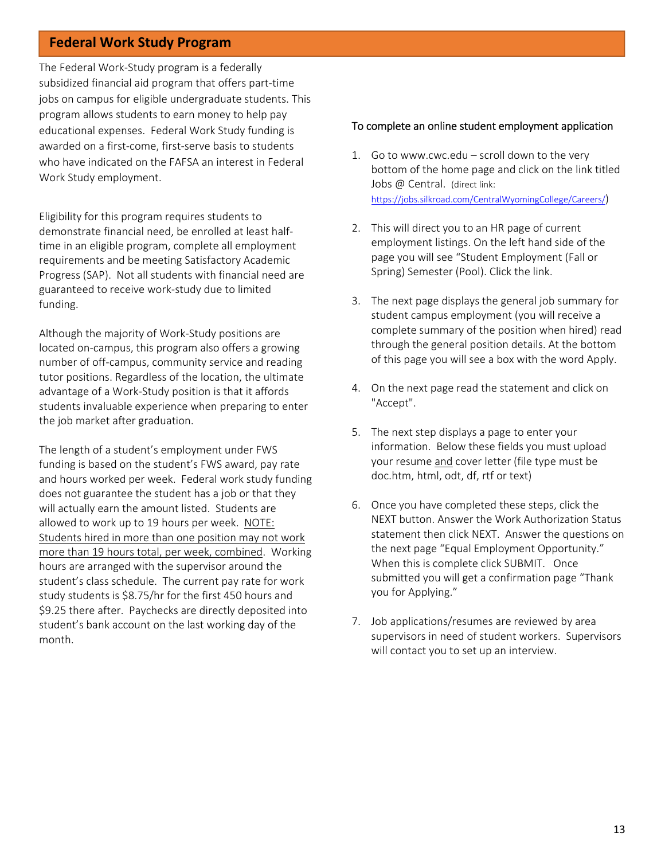### **Federal Work Study Program**

The Federal Work‐Study program is a federally subsidized financial aid program that offers part‐time jobs on campus for eligible undergraduate students. This program allows students to earn money to help pay educational expenses. Federal Work Study funding is awarded on a first‐come, first‐serve basis to students who have indicated on the FAFSA an interest in Federal Work Study employment.

Eligibility for this program requires students to demonstrate financial need, be enrolled at least half‐ time in an eligible program, complete all employment requirements and be meeting Satisfactory Academic Progress (SAP). Not all students with financial need are guaranteed to receive work‐study due to limited funding.

Although the majority of Work‐Study positions are located on‐campus, this program also offers a growing number of off‐campus, community service and reading tutor positions. Regardless of the location, the ultimate advantage of a Work‐Study position is that it affords students invaluable experience when preparing to enter the job market after graduation.

The length of a student's employment under FWS funding is based on the student's FWS award, pay rate and hours worked per week. Federal work study funding does not guarantee the student has a job or that they will actually earn the amount listed. Students are allowed to work up to 19 hours per week. NOTE: Students hired in more than one position may not work more than 19 hours total, per week, combined. Working hours are arranged with the supervisor around the student's class schedule. The current pay rate for work study students is \$8.75/hr for the first 450 hours and \$9.25 there after. Paychecks are directly deposited into student's bank account on the last working day of the month.

#### To complete an online student employment application

- 1. Go to www.cwc.edu scroll down to the very bottom of the home page and click on the link titled Jobs @ Central. (direct link: https://jobs.silkroad.com/CentralWyomingCollege/Careers/)
- 2. This will direct you to an HR page of current employment listings. On the left hand side of the page you will see "Student Employment (Fall or Spring) Semester (Pool). Click the link.
- 3. The next page displays the general job summary for student campus employment (you will receive a complete summary of the position when hired) read through the general position details. At the bottom of this page you will see a box with the word Apply.
- 4. On the next page read the statement and click on "Accept".
- 5. The next step displays a page to enter your information. Below these fields you must upload your resume and cover letter (file type must be doc.htm, html, odt, df, rtf or text)
- 6. Once you have completed these steps, click the NEXT button. Answer the Work Authorization Status statement then click NEXT. Answer the questions on the next page "Equal Employment Opportunity." When this is complete click SUBMIT. Once submitted you will get a confirmation page "Thank you for Applying."
- 7. Job applications/resumes are reviewed by area supervisors in need of student workers. Supervisors will contact you to set up an interview.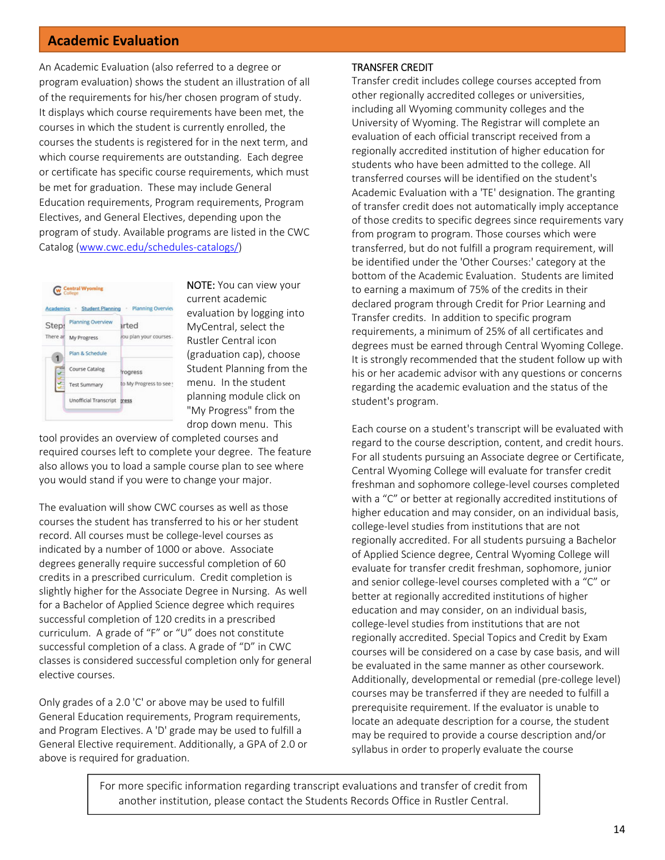### **Academic Evaluation**

An Academic Evaluation (also referred to a degree or program evaluation) shows the student an illustration of all of the requirements for his/her chosen program of study. It displays which course requirements have been met, the courses in which the student is currently enrolled, the courses the students is registered for in the next term, and which course requirements are outstanding. Each degree or certificate has specific course requirements, which must be met for graduation. These may include General Education requirements, Program requirements, Program Electives, and General Electives, depending upon the program of study. Available programs are listed in the CWC Catalog (www.cwc.edu/schedules‐catalogs/)



NOTE: You can view your current academic evaluation by logging into MyCentral, select the Rustler Central icon (graduation cap), choose Student Planning from the menu. In the student planning module click on "My Progress" from the drop down menu. This

tool provides an overview of completed courses and required courses left to complete your degree. The feature also allows you to load a sample course plan to see where you would stand if you were to change your major.

The evaluation will show CWC courses as well as those courses the student has transferred to his or her student record. All courses must be college‐level courses as indicated by a number of 1000 or above. Associate degrees generally require successful completion of 60 credits in a prescribed curriculum. Credit completion is slightly higher for the Associate Degree in Nursing. As well for a Bachelor of Applied Science degree which requires successful completion of 120 credits in a prescribed curriculum. A grade of "F" or "U" does not constitute successful completion of a class. A grade of "D" in CWC classes is considered successful completion only for general elective courses.

Only grades of a 2.0 'C' or above may be used to fulfill General Education requirements, Program requirements, and Program Electives. A 'D' grade may be used to fulfill a General Elective requirement. Additionally, a GPA of 2.0 or above is required for graduation.

#### TRANSFER CREDIT

Transfer credit includes college courses accepted from other regionally accredited colleges or universities, including all Wyoming community colleges and the University of Wyoming. The Registrar will complete an evaluation of each official transcript received from a regionally accredited institution of higher education for students who have been admitted to the college. All transferred courses will be identified on the student's Academic Evaluation with a 'TE' designation. The granting of transfer credit does not automatically imply acceptance of those credits to specific degrees since requirements vary from program to program. Those courses which were transferred, but do not fulfill a program requirement, will be identified under the 'Other Courses:' category at the bottom of the Academic Evaluation. Students are limited to earning a maximum of 75% of the credits in their declared program through Credit for Prior Learning and Transfer credits. In addition to specific program requirements, a minimum of 25% of all certificates and degrees must be earned through Central Wyoming College. It is strongly recommended that the student follow up with his or her academic advisor with any questions or concerns regarding the academic evaluation and the status of the student's program.

Each course on a student's transcript will be evaluated with regard to the course description, content, and credit hours. For all students pursuing an Associate degree or Certificate, Central Wyoming College will evaluate for transfer credit freshman and sophomore college‐level courses completed with a "C" or better at regionally accredited institutions of higher education and may consider, on an individual basis, college‐level studies from institutions that are not regionally accredited. For all students pursuing a Bachelor of Applied Science degree, Central Wyoming College will evaluate for transfer credit freshman, sophomore, junior and senior college‐level courses completed with a "C" or better at regionally accredited institutions of higher education and may consider, on an individual basis, college‐level studies from institutions that are not regionally accredited. Special Topics and Credit by Exam courses will be considered on a case by case basis, and will be evaluated in the same manner as other coursework. Additionally, developmental or remedial (pre‐college level) courses may be transferred if they are needed to fulfill a prerequisite requirement. If the evaluator is unable to locate an adequate description for a course, the student may be required to provide a course description and/or syllabus in order to properly evaluate the course

For more specific information regarding transcript evaluations and transfer of credit from another institution, please contact the Students Records Office in Rustler Central.